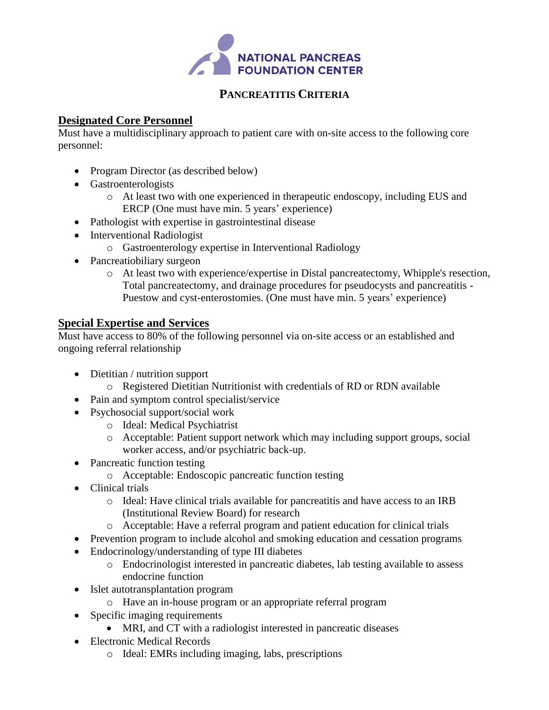

#### **PANCREATITIS CRITERIA**

#### **Designated Core Personnel**

Must have a multidisciplinary approach to patient care with on-site access to the following core personnel:

- Program Director (as described below)
- Gastroenterologists
	- o At least two with one experienced in therapeutic endoscopy, including EUS and ERCP (One must have min. 5 years' experience)
- Pathologist with expertise in gastrointestinal disease
- Interventional Radiologist
	- o Gastroenterology expertise in Interventional Radiology
- Pancreatiobiliary surgeon
	- o At least two with experience/expertise in Distal pancreatectomy, Whipple's resection, Total pancreatectomy, and drainage procedures for pseudocysts and pancreatitis - Puestow and cyst-enterostomies. (One must have min. 5 years' experience)

#### **Special Expertise and Services**

Must have access to 80% of the following personnel via on-site access or an established and ongoing referral relationship

- Dietitian / nutrition support
	- o Registered Dietitian Nutritionist with credentials of RD or RDN available
- Pain and symptom control specialist/service
- Psychosocial support/social work
	- o Ideal: Medical Psychiatrist
	- o Acceptable: Patient support network which may including support groups, social worker access, and/or psychiatric back-up.
- Pancreatic function testing
	- o Acceptable: Endoscopic pancreatic function testing
- Clinical trials
	- o Ideal: Have clinical trials available for pancreatitis and have access to an IRB (Institutional Review Board) for research
	- o Acceptable: Have a referral program and patient education for clinical trials
- Prevention program to include alcohol and smoking education and cessation programs
- Endocrinology/understanding of type III diabetes
	- o Endocrinologist interested in pancreatic diabetes, lab testing available to assess endocrine function
- Islet autotransplantation program
	- o Have an in-house program or an appropriate referral program
- Specific imaging requirements
	- MRI, and CT with a radiologist interested in pancreatic diseases
- Electronic Medical Records
	- o Ideal: EMRs including imaging, labs, prescriptions